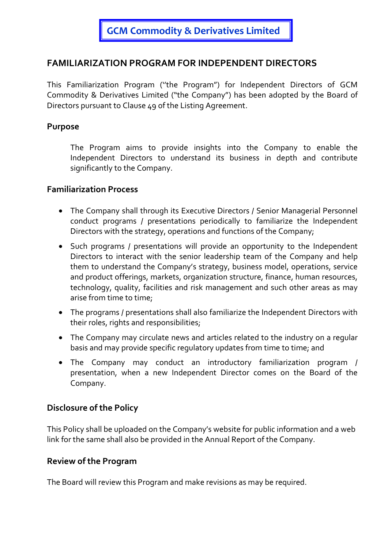# FAMILIARIZATION PROGRAM FOR INDEPENDENT DIRECTORS

This Familiarization Program (''the Program") for Independent Directors of GCM Commodity & Derivatives Limited ("the Company") has been adopted by the Board of Directors pursuant to Clause 49 of the Listing Agreement.

### Purpose

The Program aims to provide insights into the Company to enable the Independent Directors to understand its business in depth and contribute significantly to the Company.

### Familiarization Process

- The Company shall through its Executive Directors / Senior Managerial Personnel conduct programs / presentations periodically to familiarize the Independent Directors with the strategy, operations and functions of the Company;
- Such programs / presentations will provide an opportunity to the Independent Directors to interact with the senior leadership team of the Company and help them to understand the Company's strategy, business model, operations, service and product offerings, markets, organization structure, finance, human resources, technology, quality, facilities and risk management and such other areas as may arise from time to time;
- The programs / presentations shall also familiarize the Independent Directors with their roles, rights and responsibilities;
- The Company may circulate news and articles related to the industry on a regular basis and may provide specific regulatory updates from time to time; and
- The Company may conduct an introductory familiarization program / presentation, when a new Independent Director comes on the Board of the Company.

### Disclosure of the Policy

This Policy shall be uploaded on the Company's website for public information and a web link for the same shall also be provided in the Annual Report of the Company.

### Review of the Program

The Board will review this Program and make revisions as may be required.